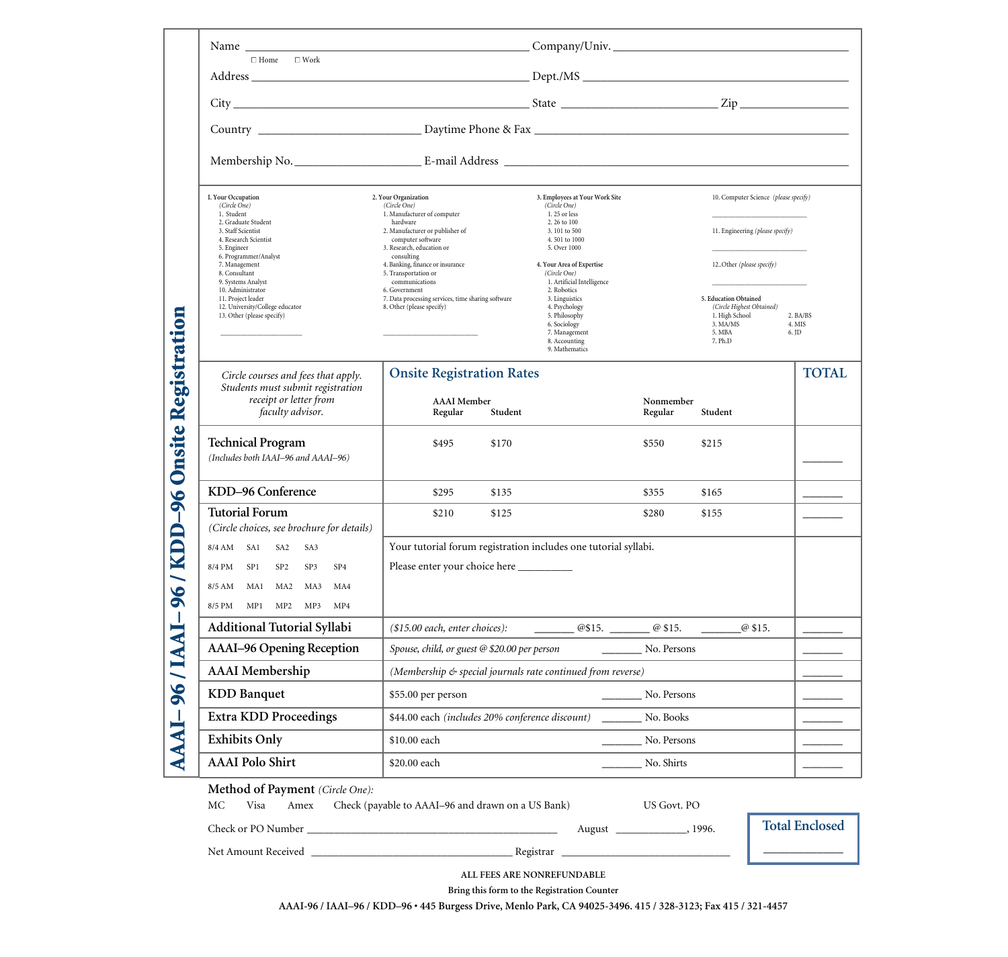|                                                                                                                                                                                                                                                                                                                                    | Company/Univ.                                                 |                                                                                                                                                                                                                                                                                                                                                   |                                                                            |                                                                                                                                   |                                                                                          |  |  |  |
|------------------------------------------------------------------------------------------------------------------------------------------------------------------------------------------------------------------------------------------------------------------------------------------------------------------------------------|---------------------------------------------------------------|---------------------------------------------------------------------------------------------------------------------------------------------------------------------------------------------------------------------------------------------------------------------------------------------------------------------------------------------------|----------------------------------------------------------------------------|-----------------------------------------------------------------------------------------------------------------------------------|------------------------------------------------------------------------------------------|--|--|--|
|                                                                                                                                                                                                                                                                                                                                    |                                                               |                                                                                                                                                                                                                                                                                                                                                   |                                                                            |                                                                                                                                   |                                                                                          |  |  |  |
|                                                                                                                                                                                                                                                                                                                                    |                                                               |                                                                                                                                                                                                                                                                                                                                                   |                                                                            |                                                                                                                                   |                                                                                          |  |  |  |
|                                                                                                                                                                                                                                                                                                                                    |                                                               |                                                                                                                                                                                                                                                                                                                                                   |                                                                            |                                                                                                                                   |                                                                                          |  |  |  |
|                                                                                                                                                                                                                                                                                                                                    |                                                               |                                                                                                                                                                                                                                                                                                                                                   |                                                                            |                                                                                                                                   |                                                                                          |  |  |  |
| I. Your Occupation<br>(Circle One)<br>1. Student<br>2. Graduate Student<br>3. Staff Scientist<br>4. Research Scientist<br>5. Engineer<br>6. Programmer/Analyst<br>7. Management<br>8. Consultant<br>9. Systems Analyst<br>10. Administrator<br>11. Project leader<br>12. University/College educator<br>13. Other (please specify) | hardware<br>computer software<br>consulting<br>communications | 3. Employees at Your Work Site<br>(Circle One)<br>1.25 or less<br>2, 26 to 100<br>3.101 to 500<br>4.501 to 1000<br>5. Over 1000<br>4. Your Area of Expertise<br>(Circle One)<br>1. Artificial Intelligence<br>2. Robotics<br>3. Linguistics<br>4. Psychology<br>5. Philosophy<br>6. Sociology<br>7. Management<br>8. Accounting<br>9. Mathematics |                                                                            | 12Other (please specify)<br>5. Education Obtained<br>(Circle Highest Obtained)<br>1. High School<br>3. MA/MS<br>5. MBA<br>7. Ph.D | 2. BA/BS<br>4. MIS<br>6. JD                                                              |  |  |  |
| Circle courses and fees that apply.<br>Students must submit registration<br>receipt or letter from<br>faculty advisor.                                                                                                                                                                                                             | <b>AAAI</b> Member<br>Student<br>Regular                      |                                                                                                                                                                                                                                                                                                                                                   | Nonmember<br>Regular                                                       | Student                                                                                                                           | <b>TOTAL</b>                                                                             |  |  |  |
| <b>Technical Program</b><br>(Includes both IAAI-96 and AAAI-96)                                                                                                                                                                                                                                                                    | \$495<br>\$170                                                |                                                                                                                                                                                                                                                                                                                                                   | \$550                                                                      | \$215                                                                                                                             |                                                                                          |  |  |  |
| KDD-96 Conference                                                                                                                                                                                                                                                                                                                  | \$295<br>\$135                                                |                                                                                                                                                                                                                                                                                                                                                   | \$355                                                                      | \$165                                                                                                                             |                                                                                          |  |  |  |
| <b>Tutorial Forum</b><br>(Circle choices, see brochure for details)                                                                                                                                                                                                                                                                | \$210<br>\$125                                                |                                                                                                                                                                                                                                                                                                                                                   | \$280                                                                      | \$155                                                                                                                             |                                                                                          |  |  |  |
| 8/4 AM SA1<br>SA2<br>SA3<br>8/4 PM<br>SP1<br>SP <sub>2</sub><br>SP3<br>SP <sub>4</sub><br>8/5 AM MA1 MA2 MA3<br>MA4<br>MP1 MP2 MP3 MP4<br>8/5 PM                                                                                                                                                                                   |                                                               |                                                                                                                                                                                                                                                                                                                                                   |                                                                            |                                                                                                                                   |                                                                                          |  |  |  |
| Additional Tutorial Syllabi                                                                                                                                                                                                                                                                                                        | (\$15.00 each, enter choices):                                |                                                                                                                                                                                                                                                                                                                                                   |                                                                            | @ \$15.                                                                                                                           |                                                                                          |  |  |  |
| <b>AAAI-96 Opening Reception</b>                                                                                                                                                                                                                                                                                                   | Spouse, child, or guest @ \$20.00 per person<br>No. Persons   |                                                                                                                                                                                                                                                                                                                                                   |                                                                            |                                                                                                                                   |                                                                                          |  |  |  |
| <b>AAAI</b> Membership                                                                                                                                                                                                                                                                                                             | (Membership & special journals rate continued from reverse)   |                                                                                                                                                                                                                                                                                                                                                   |                                                                            |                                                                                                                                   |                                                                                          |  |  |  |
| <b>KDD</b> Banquet                                                                                                                                                                                                                                                                                                                 | \$55.00 per person<br>No. Persons                             |                                                                                                                                                                                                                                                                                                                                                   |                                                                            |                                                                                                                                   |                                                                                          |  |  |  |
| <b>Extra KDD Proceedings</b>                                                                                                                                                                                                                                                                                                       | \$44.00 each (includes 20% conference discount)<br>No. Books  |                                                                                                                                                                                                                                                                                                                                                   |                                                                            |                                                                                                                                   |                                                                                          |  |  |  |
| <b>Exhibits Only</b>                                                                                                                                                                                                                                                                                                               | \$10.00 each                                                  |                                                                                                                                                                                                                                                                                                                                                   |                                                                            |                                                                                                                                   |                                                                                          |  |  |  |
| <b>AAAI</b> Polo Shirt                                                                                                                                                                                                                                                                                                             | \$20.00 each                                                  |                                                                                                                                                                                                                                                                                                                                                   | No. Shirts                                                                 |                                                                                                                                   |                                                                                          |  |  |  |
|                                                                                                                                                                                                                                                                                                                                    | $\Box$ Home $\Box$ Work<br>$\epsilon$ $\alpha$ $\alpha$       | 2. Your Organization<br>(Circle One)<br>1. Manufacturer of computer<br>2. Manufacturer or publisher of<br>3. Research, education or<br>4. Banking, finance or insurance<br>5. Transportation or<br>6. Government<br>7. Data processing services, time sharing software<br>8. Other (please specify)                                               | <b>Onsite Registration Rates</b><br>Please enter your choice here ________ | Your tutorial forum registration includes one tutorial syllabi.                                                                   | 10. Computer Science (please specify)<br>11. Engineering (please specify)<br>No. Persons |  |  |  |

**Method of Payment** *(Circle One):* 

MC Visa Amex Check (payable to AAAI–96 and drawn on a US Bank) US Govt. PO

Check or PO Number \_\_\_\_\_\_\_\_\_\_\_\_\_\_\_\_\_\_\_\_\_\_\_\_\_\_\_\_\_\_\_\_\_\_\_\_\_\_\_\_\_\_\_\_\_\_ August \_\_\_\_\_\_\_\_\_\_\_\_\_, 1996.

**Total Enclosed**

\_\_\_\_\_\_\_\_\_\_\_\_

Net Amount Received \_\_\_\_\_\_\_\_\_\_\_\_\_\_\_\_\_\_\_\_\_\_\_\_\_\_\_\_\_\_\_\_\_\_\_\_\_ Registrar \_\_\_\_\_\_\_\_\_\_\_\_\_\_\_\_\_\_\_\_\_\_\_\_\_\_\_\_\_\_\_

**ALL FEES ARE NONREFUNDABLE** 

**Bring this form to the Registration Counter**

**AAAI-96 / IAAI–96 / KDD–96 • 445 Burgess Drive, Menlo Park, CA 94025-3496. 415 / 328-3123; Fax 415 / 321-4457**